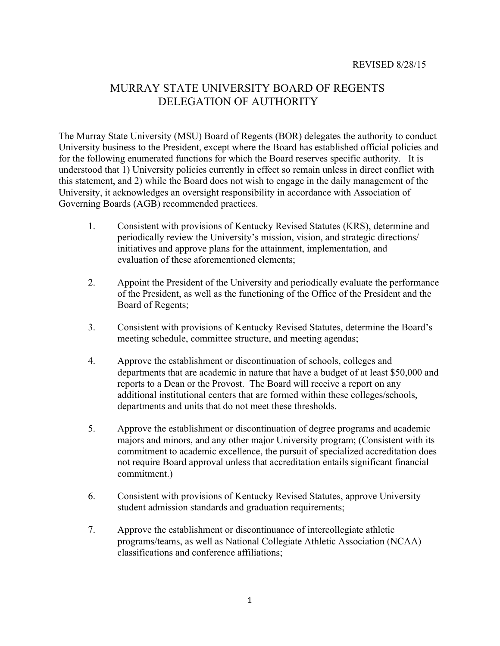## MURRAY STATE UNIVERSITY BOARD OF REGENTS DELEGATION OF AUTHORITY

The Murray State University (MSU) Board of Regents (BOR) delegates the authority to conduct University business to the President, except where the Board has established official policies and for the following enumerated functions for which the Board reserves specific authority. It is understood that 1) University policies currently in effect so remain unless in direct conflict with this statement, and 2) while the Board does not wish to engage in the daily management of the University, it acknowledges an oversight responsibility in accordance with Association of Governing Boards (AGB) recommended practices.

- 1. Consistent with provisions of Kentucky Revised Statutes (KRS), determine and periodically review the University's mission, vision, and strategic directions/ initiatives and approve plans for the attainment, implementation, and evaluation of these aforementioned elements;
- 2. Appoint the President of the University and periodically evaluate the performance of the President, as well as the functioning of the Office of the President and the Board of Regents;
- 3. Consistent with provisions of Kentucky Revised Statutes, determine the Board's meeting schedule, committee structure, and meeting agendas;
- 4. Approve the establishment or discontinuation of schools, colleges and departments that are academic in nature that have a budget of at least \$50,000 and reports to a Dean or the Provost. The Board will receive a report on any additional institutional centers that are formed within these colleges/schools, departments and units that do not meet these thresholds.
- 5. Approve the establishment or discontinuation of degree programs and academic majors and minors, and any other major University program; (Consistent with its commitment to academic excellence, the pursuit of specialized accreditation does not require Board approval unless that accreditation entails significant financial commitment.)
- 6. Consistent with provisions of Kentucky Revised Statutes, approve University student admission standards and graduation requirements;
- 7. Approve the establishment or discontinuance of intercollegiate athletic programs/teams, as well as National Collegiate Athletic Association (NCAA) classifications and conference affiliations;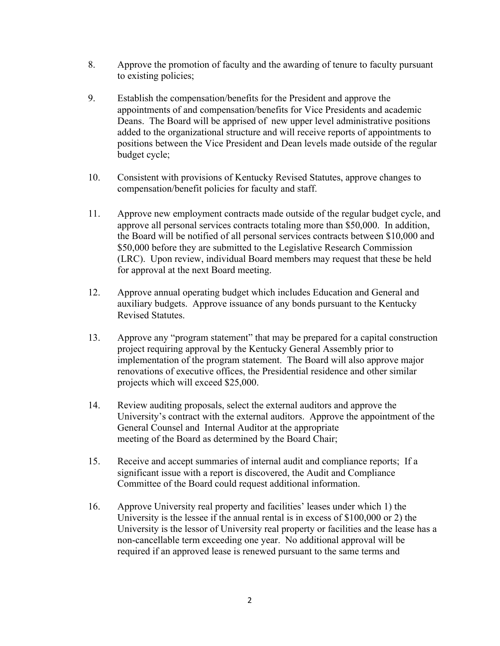- 8. Approve the promotion of faculty and the awarding of tenure to faculty pursuant to existing policies;
- 9. Establish the compensation/benefits for the President and approve the appointments of and compensation/benefits for Vice Presidents and academic Deans. The Board will be apprised of new upper level administrative positions added to the organizational structure and will receive reports of appointments to positions between the Vice President and Dean levels made outside of the regular budget cycle;
- 10. Consistent with provisions of Kentucky Revised Statutes, approve changes to compensation/benefit policies for faculty and staff.
- 11. Approve new employment contracts made outside of the regular budget cycle, and approve all personal services contracts totaling more than \$50,000. In addition, the Board will be notified of all personal services contracts between \$10,000 and \$50,000 before they are submitted to the Legislative Research Commission (LRC). Upon review, individual Board members may request that these be held for approval at the next Board meeting.
- 12. Approve annual operating budget which includes Education and General and auxiliary budgets. Approve issuance of any bonds pursuant to the Kentucky Revised Statutes.
- 13. Approve any "program statement" that may be prepared for a capital construction project requiring approval by the Kentucky General Assembly prior to implementation of the program statement. The Board will also approve major renovations of executive offices, the Presidential residence and other similar projects which will exceed \$25,000.
- 14. Review auditing proposals, select the external auditors and approve the University's contract with the external auditors. Approve the appointment of the General Counsel and Internal Auditor at the appropriate meeting of the Board as determined by the Board Chair;
- 15. Receive and accept summaries of internal audit and compliance reports; If a significant issue with a report is discovered, the Audit and Compliance Committee of the Board could request additional information.
- 16. Approve University real property and facilities' leases under which 1) the University is the lessee if the annual rental is in excess of \$100,000 or 2) the University is the lessor of University real property or facilities and the lease has a non-cancellable term exceeding one year. No additional approval will be required if an approved lease is renewed pursuant to the same terms and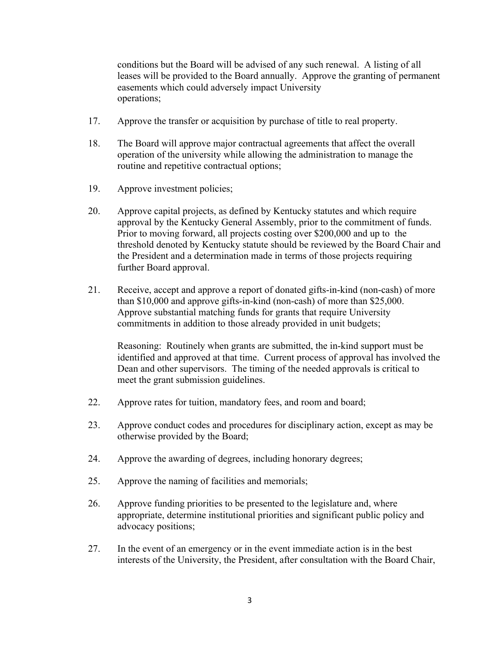conditions but the Board will be advised of any such renewal. A listing of all leases will be provided to the Board annually. Approve the granting of permanent easements which could adversely impact University operations;

- 17. Approve the transfer or acquisition by purchase of title to real property.
- 18. The Board will approve major contractual agreements that affect the overall operation of the university while allowing the administration to manage the routine and repetitive contractual options;
- 19. Approve investment policies;
- 20. Approve capital projects, as defined by Kentucky statutes and which require approval by the Kentucky General Assembly, prior to the commitment of funds. Prior to moving forward, all projects costing over \$200,000 and up to the threshold denoted by Kentucky statute should be reviewed by the Board Chair and the President and a determination made in terms of those projects requiring further Board approval.
- 21. Receive, accept and approve a report of donated gifts-in-kind (non-cash) of more than \$10,000 and approve gifts-in-kind (non-cash) of more than \$25,000. Approve substantial matching funds for grants that require University commitments in addition to those already provided in unit budgets;

Reasoning: Routinely when grants are submitted, the in-kind support must be identified and approved at that time. Current process of approval has involved the Dean and other supervisors. The timing of the needed approvals is critical to meet the grant submission guidelines.

- 22. Approve rates for tuition, mandatory fees, and room and board;
- 23. Approve conduct codes and procedures for disciplinary action, except as may be otherwise provided by the Board;
- 24. Approve the awarding of degrees, including honorary degrees;
- 25. Approve the naming of facilities and memorials;
- 26. Approve funding priorities to be presented to the legislature and, where appropriate, determine institutional priorities and significant public policy and advocacy positions;
- 27. In the event of an emergency or in the event immediate action is in the best interests of the University, the President, after consultation with the Board Chair,